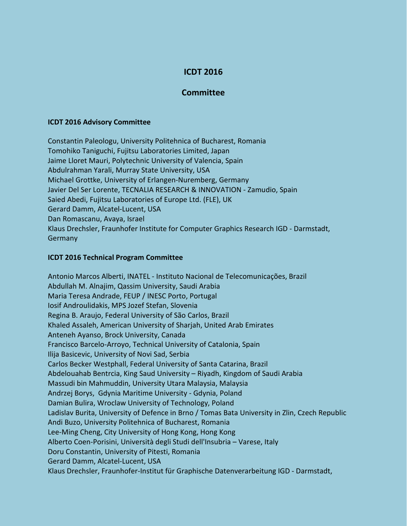## **ICDT 2016**

## **Committee**

## **ICDT 2016 Advisory Committee**

Constantin Paleologu, University Politehnica of Bucharest, Romania Tomohiko Taniguchi, Fujitsu Laboratories Limited, Japan Jaime Lloret Mauri, Polytechnic University of Valencia, Spain Abdulrahman Yarali, Murray State University, USA Michael Grottke, University of Erlangen-Nuremberg, Germany Javier Del Ser Lorente, TECNALIA RESEARCH & INNOVATION - Zamudio, Spain Saied Abedi, Fujitsu Laboratories of Europe Ltd. (FLE), UK Gerard Damm, Alcatel-Lucent, USA Dan Romascanu, Avaya, Israel Klaus Drechsler, Fraunhofer Institute for Computer Graphics Research IGD - Darmstadt, **Germany** 

## **ICDT 2016 Technical Program Committee**

Antonio Marcos Alberti, INATEL - Instituto Nacional de Telecomunicações, Brazil Abdullah M. Alnajim, Qassim University, Saudi Arabia Maria Teresa Andrade, FEUP / INESC Porto, Portugal Iosif Androulidakis, MPS Jozef Stefan, Slovenia Regina B. Araujo, Federal University of São Carlos, Brazil Khaled Assaleh, American University of Sharjah, United Arab Emirates Anteneh Ayanso, Brock University, Canada Francisco Barcelo-Arroyo, Technical University of Catalonia, Spain Ilija Basicevic, University of Novi Sad, Serbia Carlos Becker Westphall, Federal University of Santa Catarina, Brazil Abdelouahab Bentrcia, King Saud University – Riyadh, Kingdom of Saudi Arabia Massudi bin Mahmuddin, University Utara Malaysia, Malaysia Andrzej Borys, Gdynia Maritime University - Gdynia, Poland Damian Bulira, Wroclaw University of Technology, Poland Ladislav Burita, University of Defence in Brno / Tomas Bata University in Zlin, Czech Republic Andi Buzo, University Politehnica of Bucharest, Romania Lee-Ming Cheng, City University of Hong Kong, Hong Kong Alberto Coen-Porisini, Università degli Studi dell'Insubria – Varese, Italy Doru Constantin, University of Pitesti, Romania Gerard Damm, Alcatel-Lucent, USA Klaus Drechsler, Fraunhofer-Institut für Graphische Datenverarbeitung IGD - Darmstadt,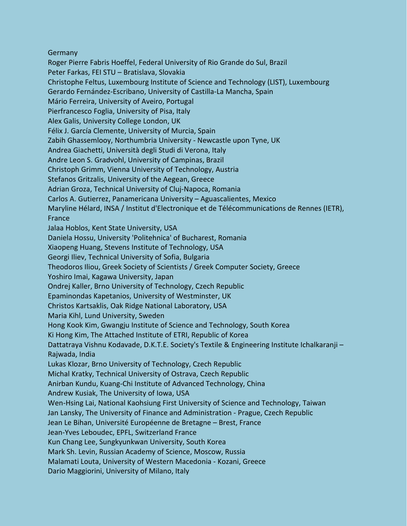Germany

Roger Pierre Fabris Hoeffel, Federal University of Rio Grande do Sul, Brazil Peter Farkas, FEI STU – Bratislava, Slovakia Christophe Feltus, Luxembourg Institute of Science and Technology (LIST), Luxembourg Gerardo Fernández-Escribano, University of Castilla-La Mancha, Spain Mário Ferreira, University of Aveiro, Portugal Pierfrancesco Foglia, University of Pisa, Italy Alex Galis, University College London, UK Félix J. García Clemente, University of Murcia, Spain Zabih Ghassemlooy, Northumbria University - Newcastle upon Tyne, UK Andrea Giachetti, Università degli Studi di Verona, Italy Andre Leon S. Gradvohl, University of Campinas, Brazil Christoph Grimm, Vienna University of Technology, Austria Stefanos Gritzalis, University of the Aegean, Greece Adrian Groza, Technical University of Cluj-Napoca, Romania Carlos A. Gutierrez, Panamericana University – Aguascalientes, Mexico Maryline Hélard, INSA / Institut d'Electronique et de Télécommunications de Rennes (IETR), France Jalaa Hoblos, Kent State University, USA Daniela Hossu, University 'Politehnica' of Bucharest, Romania Xiaopeng Huang, Stevens Institute of Technology, USA Georgi Iliev, Technical University of Sofia, Bulgaria Theodoros Iliou, Greek Society of Scientists / Greek Computer Society, Greece Yoshiro Imai, Kagawa University, Japan Ondrej Kaller, Brno University of Technology, Czech Republic Epaminondas Kapetanios, University of Westminster, UK Christos Kartsaklis, Oak Ridge National Laboratory, USA Maria Kihl, Lund University, Sweden Hong Kook Kim, Gwangju Institute of Science and Technology, South Korea Ki Hong Kim, The Attached Institute of ETRI, Republic of Korea Dattatraya Vishnu Kodavade, D.K.T.E. Society's Textile & Engineering Institute Ichalkaranji – Rajwada, India Lukas Klozar, Brno University of Technology, Czech Republic Michal Kratky, Technical University of Ostrava, Czech Republic Anirban Kundu, Kuang-Chi Institute of Advanced Technology, China Andrew Kusiak, The University of Iowa, USA Wen-Hsing Lai, National Kaohsiung First University of Science and Technology, Taiwan Jan Lansky, The University of Finance and Administration - Prague, Czech Republic Jean Le Bihan, Université Européenne de Bretagne – Brest, France Jean-Yves Leboudec, EPFL, Switzerland France Kun Chang Lee, Sungkyunkwan University, South Korea Mark Sh. Levin, Russian Academy of Science, Moscow, Russia Malamati Louta, University of Western Macedonia - Kozani, Greece Dario Maggiorini, University of Milano, Italy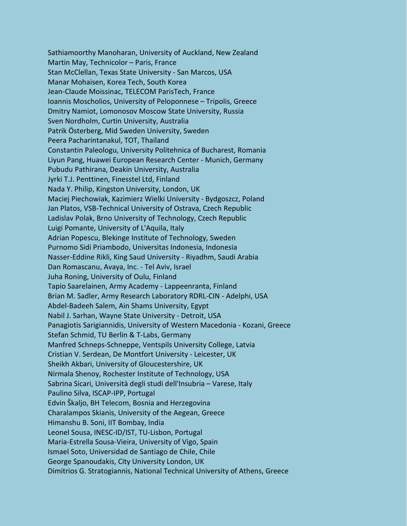Sathiamoorthy Manoharan, University of Auckland, New Zealand Martin May, Technicolor – Paris, France Stan McClellan, Texas State University - San Marcos, USA Manar Mohaisen, Korea Tech, South Korea Jean-Claude Moissinac, TELECOM ParisTech, France Ioannis Moscholios, University of Peloponnese – Tripolis, Greece Dmitry Namiot, Lomonosov Moscow State University, Russia Sven Nordholm, Curtin University, Australia Patrik Österberg, Mid Sweden University, Sweden Peera Pacharintanakul, TOT, Thailand Constantin Paleologu, University Politehnica of Bucharest, Romania Liyun Pang, Huawei European Research Center - Munich, Germany Pubudu Pathirana, Deakin University, Australia Jyrki T.J. Penttinen, Finesstel Ltd, Finland Nada Y. Philip, Kingston University, London, UK Maciej Piechowiak, Kazimierz Wielki University - Bydgoszcz, Poland Jan Platos, VSB-Technical University of Ostrava, Czech Republic Ladislav Polak, Brno University of Technology, Czech Republic Luigi Pomante, University of L'Aquila, Italy Adrian Popescu, Blekinge Institute of Technology, Sweden Purnomo Sidi Priambodo, Universitas Indonesia, Indonesia Nasser-Eddine Rikli, King Saud University - Riyadhm, Saudi Arabia Dan Romascanu, Avaya, Inc. - Tel Aviv, Israel Juha Roning, University of Oulu, Finland Tapio Saarelainen, Army Academy - Lappeenranta, Finland Brian M. Sadler, Army Research Laboratory RDRL-CIN - Adelphi, USA Abdel-Badeeh Salem, Ain Shams University, Egypt Nabil J. Sarhan, Wayne State University - Detroit, USA Panagiotis Sarigiannidis, University of Western Macedonia - Kozani, Greece Stefan Schmid, TU Berlin & T-Labs, Germany Manfred Schneps-Schneppe, Ventspils University College, Latvia Cristian V. Serdean, De Montfort University - Leicester, UK Sheikh Akbari, University of Gloucestershire, UK Nirmala Shenoy, Rochester Institute of Technology, USA Sabrina Sicari, Università degli studi dell'Insubria – Varese, Italy Paulino Silva, ISCAP-IPP, Portugal Edvin Škaljo, BH Telecom, Bosnia and Herzegovina Charalampos Skianis, University of the Aegean, Greece Himanshu B. Soni, IIT Bombay, India Leonel Sousa, INESC-ID/IST, TU-Lisbon, Portugal Maria-Estrella Sousa-Vieira, University of Vigo, Spain Ismael Soto, Universidad de Santiago de Chile, Chile George Spanoudakis, City University London, UK Dimitrios G. Stratogiannis, National Technical University of Athens, Greece